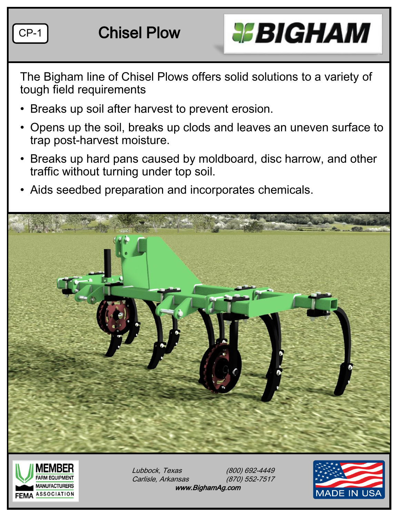



The Bigham line of Chisel Plows offers solid solutions to a variety of tough field requirements

- Breaks up soil after harvest to prevent erosion.
- Opens up the soil, breaks up clods and leaves an uneven surface to trap post-harvest moisture.
- Breaks up hard pans caused by moldboard, disc harrow, and other traffic without turning under top soil.
- Aids seedbed preparation and incorporates chemicals.





Lubbock, Texas (800) 692-4449 Carlisle, Arkansas (870) 552-7517 www.BighamAg.com